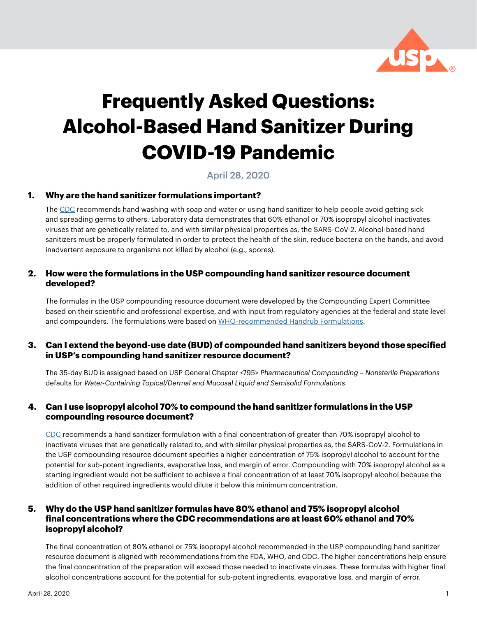

# **Frequently Asked Questions: Alcohol-Based Hand Sanitizer During COVID-19 Pandemic**

# April 28, 2020

# **1. Why are the hand sanitizer formulations important?**

The [CDC](https://www.cdc.gov/coronavirus/2019-ncov/hcp/hand-hygiene.html?CDC_AA_refVal=https%3A%2F%2Fwww.cdc.gov%2Fcoronavirus%2F2019-ncov%2Finfection-control%2Fhcp-hand-sanitizer.html) recommends hand washing with soap and water or using hand sanitizer to help people avoid getting sick and spreading germs to others. Laboratory data demonstrates that 60% ethanol or 70% isopropyl alcohol inactivates viruses that are genetically related to, and with similar physical properties as, the SARS-CoV-2. Alcohol-based hand sanitizers must be properly formulated in order to protect the health of the skin, reduce bacteria on the hands, and avoid inadvertent exposure to organisms not killed by alcohol (e.g., spores).

#### **2. How were the formulations in the USP compounding hand sanitizer resource document developed?**

The formulas in the USP compounding resource document were developed by the Compounding Expert Committee based on their scientific and professional expertise, and with input from regulatory agencies at the federal and state level and compounders. The formulations were based on [WHO-recommended Handrub Formulations](https://www.who.int/gpsc/5may/Guide_to_Local_Production.pdf?ua=1).

#### **3. Can I extend the beyond-use date (BUD) of compounded hand sanitizers beyond those specified in USP's compounding hand sanitizer resource document?**

The 35-day BUD is assigned based on USP General Chapter <795> *Pharmaceutical Compounding – Nonsterile Preparations*  defaults for *Water-Containing Topical/Dermal and Mucosal Liquid and Semisolid Formulations*.

# **4. Can I use isopropyl alcohol 70% to compound the hand sanitizer formulations in the USP compounding resource document?**

[CDC](https://www.cdc.gov/coronavirus/2019-ncov/hcp/hand-hygiene.html?CDC_AA_refVal=https%3A%2F%2Fwww.cdc.gov%2Fcoronavirus%2F2019-ncov%2Finfection-control%2Fhcp-hand-sanitizer.html) recommends a hand sanitizer formulation with a final concentration of greater than 70% isopropyl alcohol to inactivate viruses that are genetically related to, and with similar physical properties as, the SARS-CoV-2. Formulations in the USP compounding resource document specifies a higher concentration of 75% isopropyl alcohol to account for the potential for sub-potent ingredients, evaporative loss, and margin of error. Compounding with 70% isopropyl alcohol as a starting ingredient would not be sufficient to achieve a final concentration of at least 70% isopropyl alcohol because the addition of other required ingredients would dilute it below this minimum concentration.

# **5. Why do the USP hand sanitizer formulas have 80% ethanol and 75% isopropyl alcohol final concentrations where the CDC recommendations are at least 60% ethanol and 70% isopropyl alcohol?**

The final concentration of 80% ethanol or 75% isopropyl alcohol recommended in the USP compounding hand sanitizer resource document is aligned with recommendations from the FDA, WHO, and CDC. The higher concentrations help ensure the final concentration of the preparation will exceed those needed to inactivate viruses. These formulas with higher final alcohol concentrations account for the potential for sub-potent ingredients, evaporative loss, and margin of error.